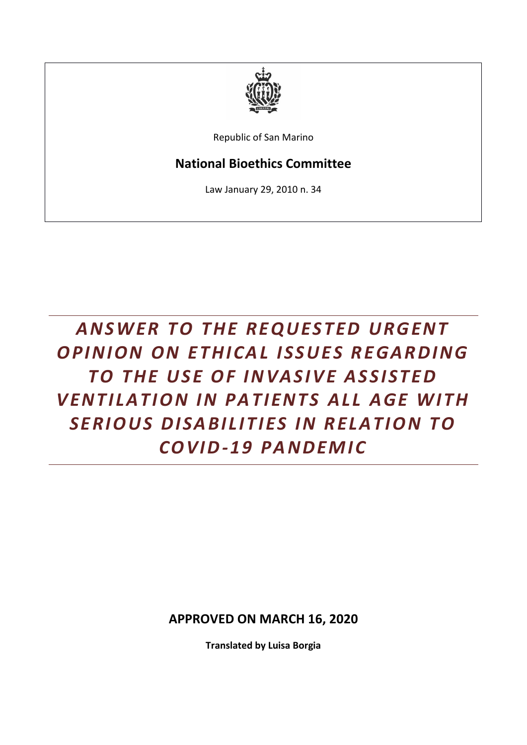

Republic of San Marino

## **National Bioethics Committee**

Law January 29, 2010 n. 34

## **ANSWER TO THE REQUESTED URGENT** *OPINION ON ETHICAL ISSUES REGARDING TO THE USE OF INVASIVE ASSISTED V EN T I LA T I ON I N PA T I EN T S A LL A G E W I T H*  **SERIOUS DISABILITIES IN RELATION TO** *C OV I D-1 9 PA N DEM I C*

**APPROVED ON MARCH 16, 2020**

**Translated by Luisa Borgia**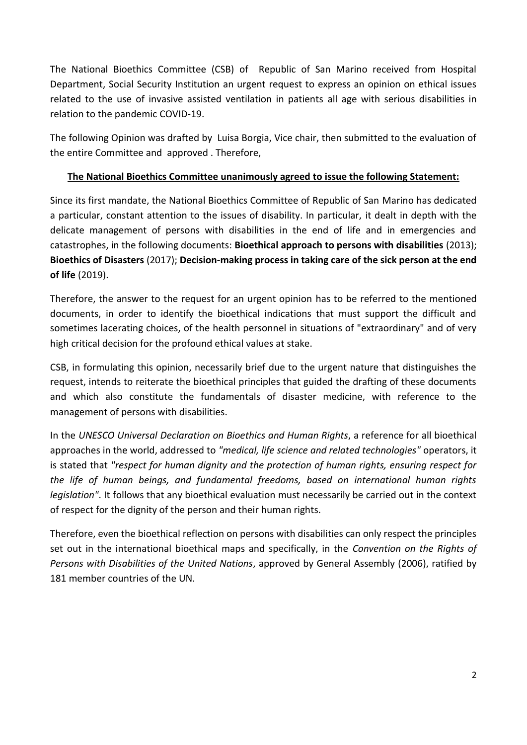The National Bioethics Committee (CSB) of Republic of San Marino received from Hospital Department, Social Security Institution an urgent request to express an opinion on ethical issues related to the use of invasive assisted ventilation in patients all age with serious disabilities in relation to the pandemic COVID-19.

The following Opinion was drafted by Luisa Borgia, Vice chair, then submitted to the evaluation of the entire Committee and approved . Therefore,

## **The National Bioethics Committee unanimously agreed to issue the following Statement:**

Since its first mandate, the National Bioethics Committee of Republic of San Marino has dedicated a particular, constant attention to the issues of disability. In particular, it dealt in depth with the delicate management of persons with disabilities in the end of life and in emergencies and catastrophes, in the following documents: **Bioethical approach to persons with disabilities** (2013); **Bioethics of Disasters** (2017); **Decision-making process in taking care of the sick person at the end of life** (2019).

Therefore, the answer to the request for an urgent opinion has to be referred to the mentioned documents, in order to identify the bioethical indications that must support the difficult and sometimes lacerating choices, of the health personnel in situations of "extraordinary" and of very high critical decision for the profound ethical values at stake.

CSB, in formulating this opinion, necessarily brief due to the urgent nature that distinguishes the request, intends to reiterate the bioethical principles that guided the drafting of these documents and which also constitute the fundamentals of disaster medicine, with reference to the management of persons with disabilities.

In the *UNESCO Universal Declaration on Bioethics and Human Rights*, a reference for all bioethical approaches in the world, addressed to *"medical, life science and related technologies"* operators, it is stated that *"respect for human dignity and the protection of human rights, ensuring respect for the life of human beings, and fundamental freedoms, based on international human rights legislation"*. It follows that any bioethical evaluation must necessarily be carried out in the context of respect for the dignity of the person and their human rights.

Therefore, even the bioethical reflection on persons with disabilities can only respect the principles set out in the international bioethical maps and specifically, in the *Convention on the Rights of Persons with Disabilities of the United Nations*, approved by General Assembly (2006), ratified by 181 member countries of the UN.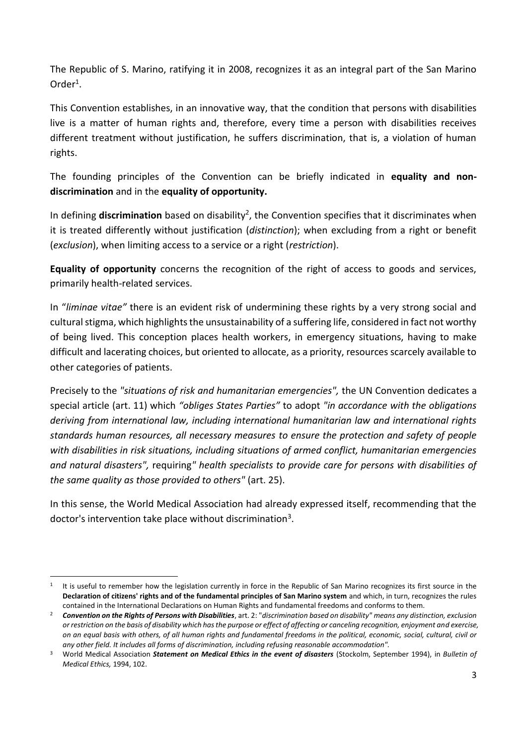The Republic of S. Marino, ratifying it in 2008, recognizes it as an integral part of the San Marino Order<sup>1</sup>.

This Convention establishes, in an innovative way, that the condition that persons with disabilities live is a matter of human rights and, therefore, every time a person with disabilities receives different treatment without justification, he suffers discrimination, that is, a violation of human rights.

The founding principles of the Convention can be briefly indicated in **equality and nondiscrimination** and in the **equality of opportunity.**

In defining **discrimination** based on disability<sup>2</sup>, the Convention specifies that it discriminates when it is treated differently without justification (*distinction*); when excluding from a right or benefit (*exclusion*), when limiting access to a service or a right (*restriction*).

**Equality of opportunity** concerns the recognition of the right of access to goods and services, primarily health-related services.

In "*liminae vitae"* there is an evident risk of undermining these rights by a very strong social and cultural stigma, which highlights the unsustainability of a suffering life, considered in fact not worthy of being lived. This conception places health workers, in emergency situations, having to make difficult and lacerating choices, but oriented to allocate, as a priority, resources scarcely available to other categories of patients.

Precisely to the *"situations of risk and humanitarian emergencies",* the UN Convention dedicates a special article (art. 11) which *"obliges States Parties"* to adopt *"in accordance with the obligations deriving from international law, including international humanitarian law and international rights standards human resources, all necessary measures to ensure the protection and safety of people with disabilities in risk situations, including situations of armed conflict, humanitarian emergencies and natural disasters",* requiring*" health specialists to provide care for persons with disabilities of the same quality as those provided to others"* (art. 25).

In this sense, the World Medical Association had already expressed itself, recommending that the doctor's intervention take place without discrimination<sup>3</sup>.

<sup>1</sup> It is useful to remember how the legislation currently in force in the Republic of San Marino recognizes its first source in the **Declaration of citizens' rights and of the fundamental principles of San Marino system** and which, in turn, recognizes the rules contained in the International Declarations on Human Rights and fundamental freedoms and conforms to them.

<sup>2</sup> *Convention on the Rights of Persons with Disabilities*, art. 2: "*discrimination based on disability" means any distinction, exclusion or restriction on the basis of disability which has the purpose or effect of affecting or canceling recognition, enjoyment and exercise, on an equal basis with others, of all human rights and fundamental freedoms in the political, economic, social, cultural, civil or any other field. It includes all forms of discrimination, including refusing reasonable accommodation".*

<sup>3</sup> World Medical Association *Statement on Medical Ethics in the event of disasters* (Stockolm, September 1994), in *Bulletin of Medical Ethics,* 1994, 102.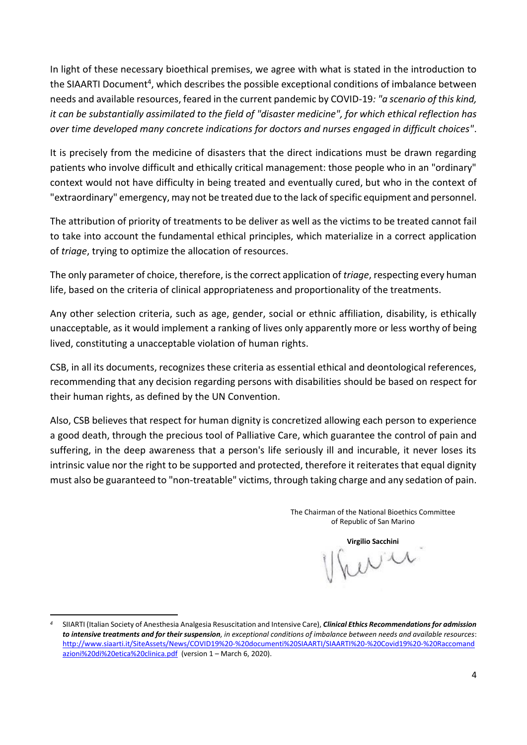In light of these necessary bioethical premises, we agree with what is stated in the introduction to the SIAARTI Document<sup>4</sup>, which describes the possible exceptional conditions of imbalance between needs and available resources, feared in the current pandemic by COVID-19*: "a scenario of this kind, it can be substantially assimilated to the field of "disaster medicine", for which ethical reflection has over time developed many concrete indications for doctors and nurses engaged in difficult choices"*.

It is precisely from the medicine of disasters that the direct indications must be drawn regarding patients who involve difficult and ethically critical management: those people who in an "ordinary" context would not have difficulty in being treated and eventually cured, but who in the context of "extraordinary" emergency, may not be treated due to the lack of specific equipment and personnel.

The attribution of priority of treatments to be deliver as well as the victims to be treated cannot fail to take into account the fundamental ethical principles, which materialize in a correct application of *triage*, trying to optimize the allocation of resources.

The only parameter of choice, therefore, is the correct application of *triage*, respecting every human life, based on the criteria of clinical appropriateness and proportionality of the treatments.

Any other selection criteria, such as age, gender, social or ethnic affiliation, disability, is ethically unacceptable, as it would implement a ranking of lives only apparently more or less worthy of being lived, constituting a unacceptable violation of human rights.

CSB, in all its documents, recognizes these criteria as essential ethical and deontological references, recommending that any decision regarding persons with disabilities should be based on respect for their human rights, as defined by the UN Convention.

Also, CSB believes that respect for human dignity is concretized allowing each person to experience a good death, through the precious tool of Palliative Care, which guarantee the control of pain and suffering, in the deep awareness that a person's life seriously ill and incurable, it never loses its intrinsic value nor the right to be supported and protected, therefore it reiterates that equal dignity must also be guaranteed to "non-treatable" victims, through taking charge and any sedation of pain.

> The Chairman of the National Bioethics Committee of Republic of San Marino

**Virgilio Sacchini**

*<sup>4</sup>* SIIARTI (Italian Society of Anesthesia Analgesia Resuscitation and Intensive Care), *Clinical Ethics Recommendations for admission to intensive treatments and for their suspension, in exceptional conditions of imbalance between needs and available resources*: [http://www.siaarti.it/SiteAssets/News/COVID19%20-%20documenti%20SIAARTI/SIAARTI%20-%20Covid19%20-%20Raccomand](http://www.siaarti.it/SiteAssets/News/COVID19%20-%20documenti%20SIAARTI/SIAARTI%20-%20Covid19%20-%20Raccomandazioni%20di%20etica%20clinica.pdf) [azioni%20di%20etica%20clinica.pdf](http://www.siaarti.it/SiteAssets/News/COVID19%20-%20documenti%20SIAARTI/SIAARTI%20-%20Covid19%20-%20Raccomandazioni%20di%20etica%20clinica.pdf) (version 1 – March 6, 2020).